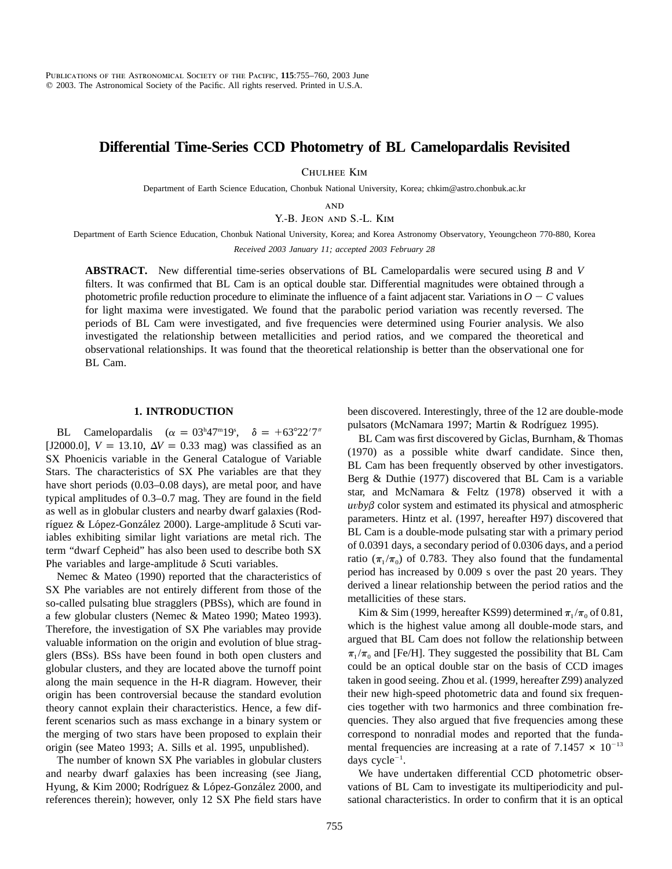# **Differential Time-Series CCD Photometry of BL Camelopardalis Revisited**

Chulhee Kim

Department of Earth Science Education, Chonbuk National University, Korea; chkim@astro.chonbuk.ac.kr

**AND** 

Y.-B. Jeon and S.-L. Kim

Department of Earth Science Education, Chonbuk National University, Korea; and Korea Astronomy Observatory, Yeoungcheon 770-880, Korea

*Received 2003 January 11; accepted 2003 February 28*

**ABSTRACT.** New differential time-series observations of BL Camelopardalis were secured using *B* and *V* filters. It was confirmed that BL Cam is an optical double star. Differential magnitudes were obtained through a photometric profile reduction procedure to eliminate the influence of a faint adjacent star. Variations in  $O - C$  values for light maxima were investigated. We found that the parabolic period variation was recently reversed. The periods of BL Cam were investigated, and five frequencies were determined using Fourier analysis. We also investigated the relationship between metallicities and period ratios, and we compared the theoretical and observational relationships. It was found that the theoretical relationship is better than the observational one for BL Cam.

### **1. INTRODUCTION**

BL Camelopardalis ( $\alpha = 03^{\text{h}}47^{\text{m}}19^{\text{s}}$ ,  $\delta = +63^{\circ}22'7''$ [J2000.0],  $V = 13.10$ ,  $\Delta V = 0.33$  mag) was classified as an SX Phoenicis variable in the General Catalogue of Variable Stars. The characteristics of SX Phe variables are that they have short periods (0.03–0.08 days), are metal poor, and have typical amplitudes of 0.3–0.7 mag. They are found in the field as well as in globular clusters and nearby dwarf galaxies (Rodríguez & López-González 2000). Large-amplitude δ Scuti variables exhibiting similar light variations are metal rich. The term "dwarf Cepheid" has also been used to describe both SX Phe variables and large-amplitude  $\delta$  Scuti variables.

Nemec & Mateo (1990) reported that the characteristics of SX Phe variables are not entirely different from those of the so-called pulsating blue stragglers (PBSs), which are found in a few globular clusters (Nemec & Mateo 1990; Mateo 1993). Therefore, the investigation of SX Phe variables may provide valuable information on the origin and evolution of blue stragglers (BSs). BSs have been found in both open clusters and globular clusters, and they are located above the turnoff point along the main sequence in the H-R diagram. However, their origin has been controversial because the standard evolution theory cannot explain their characteristics. Hence, a few different scenarios such as mass exchange in a binary system or the merging of two stars have been proposed to explain their origin (see Mateo 1993; A. Sills et al. 1995, unpublished).

The number of known SX Phe variables in globular clusters and nearby dwarf galaxies has been increasing (see Jiang, Hyung, & Kim 2000; Rodríguez & López-González 2000, and references therein); however, only 12 SX Phe field stars have been discovered. Interestingly, three of the 12 are double-mode pulsators (McNamara 1997; Martin & Rodríguez 1995).

BL Cam was first discovered by Giclas, Burnham, & Thomas (1970) as a possible white dwarf candidate. Since then, BL Cam has been frequently observed by other investigators. Berg & Duthie (1977) discovered that BL Cam is a variable star, and McNamara & Feltz (1978) observed it with a  $uvb\gamma\beta$  color system and estimated its physical and atmospheric parameters. Hintz et al. (1997, hereafter H97) discovered that BL Cam is a double-mode pulsating star with a primary period of 0.0391 days, a secondary period of 0.0306 days, and a period ratio ( $\pi_1 / \pi_0$ ) of 0.783. They also found that the fundamental period has increased by 0.009 s over the past 20 years. They derived a linear relationship between the period ratios and the metallicities of these stars.

Kim & Sim (1999, hereafter KS99) determined  $\pi_1 / \pi_0$  of 0.81, which is the highest value among all double-mode stars, and argued that BL Cam does not follow the relationship between  $\pi_1 / \pi_0$  and [Fe/H]. They suggested the possibility that BL Cam could be an optical double star on the basis of CCD images taken in good seeing. Zhou et al. (1999, hereafter Z99) analyzed their new high-speed photometric data and found six frequencies together with two harmonics and three combination frequencies. They also argued that five frequencies among these correspond to nonradial modes and reported that the fundamental frequencies are increasing at a rate of 7.1457  $\times$  10<sup>-13</sup> days  $cycle^{-1}$ .

We have undertaken differential CCD photometric observations of BL Cam to investigate its multiperiodicity and pulsational characteristics. In order to confirm that it is an optical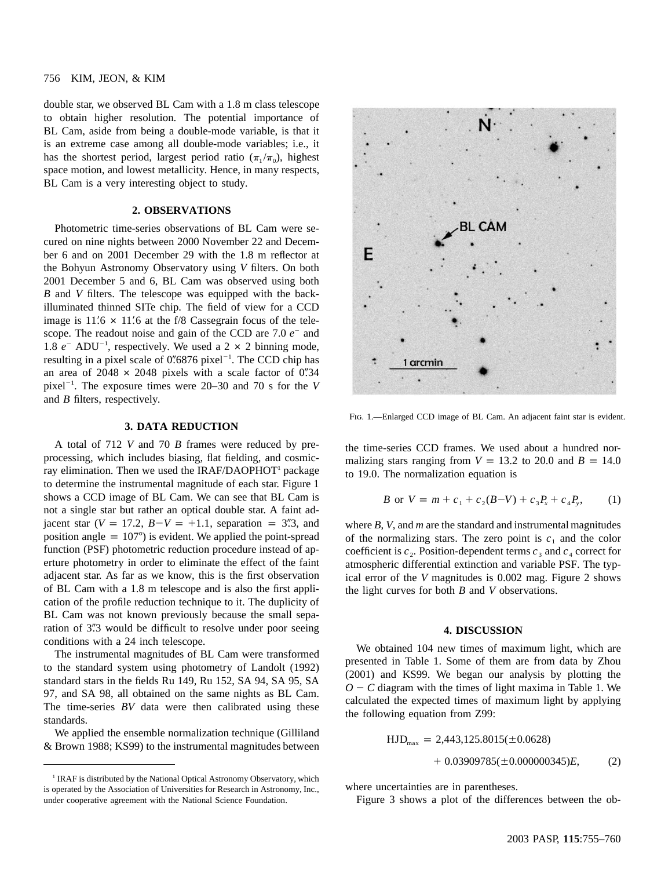## 756 KIM, JEON, & KIM

double star, we observed BL Cam with a 1.8 m class telescope to obtain higher resolution. The potential importance of BL Cam, aside from being a double-mode variable, is that it is an extreme case among all double-mode variables; i.e., it has the shortest period, largest period ratio  $(\pi_1 / \pi_0)$ , highest space motion, and lowest metallicity. Hence, in many respects, BL Cam is a very interesting object to study.

# **2. OBSERVATIONS**

Photometric time-series observations of BL Cam were secured on nine nights between 2000 November 22 and December 6 and on 2001 December 29 with the 1.8 m reflector at the Bohyun Astronomy Observatory using *V* filters. On both 2001 December 5 and 6, BL Cam was observed using both *B* and *V* filters. The telescope was equipped with the backilluminated thinned SITe chip. The field of view for a CCD image is  $11'$ .6  $\times$  11'.6 at the f/8 Cassegrain focus of the telescope. The readout noise and gain of the CCD are 7.0  $e^-$  and 1.8  $e^-$  ADU<sup>-1</sup>, respectively. We used a 2  $\times$  2 binning mode, resulting in a pixel scale of  $0\rlap{.}^{\prime\prime}6876$  pixel<sup>-1</sup>. The CCD chip has an area of  $2048 \times 2048$  pixels with a scale factor of 0"34 pixel<sup>-1</sup>. The exposure times were 20–30 and 70 s for the *V* and *B* filters, respectively.

#### **3. DATA REDUCTION**

A total of 712 *V* and 70 *B* frames were reduced by preprocessing, which includes biasing, flat fielding, and cosmicray elimination. Then we used the  $IRAF/DAOPHOT<sup>1</sup>$  package to determine the instrumental magnitude of each star. Figure 1 shows a CCD image of BL Cam. We can see that BL Cam is not a single star but rather an optical double star. A faint adjacent star  $(V = 17.2, B-V = +1.1,$  separation = 3"3, and position angle  $= 107^{\circ}$ ) is evident. We applied the point-spread function (PSF) photometric reduction procedure instead of aperture photometry in order to eliminate the effect of the faint adjacent star. As far as we know, this is the first observation of BL Cam with a 1.8 m telescope and is also the first application of the profile reduction technique to it. The duplicity of BL Cam was not known previously because the small separation of 3".3 would be difficult to resolve under poor seeing conditions with a 24 inch telescope.

The instrumental magnitudes of BL Cam were transformed to the standard system using photometry of Landolt (1992) standard stars in the fields Ru 149, Ru 152, SA 94, SA 95, SA 97, and SA 98, all obtained on the same nights as BL Cam. The time-series *BV* data were then calibrated using these standards.

We applied the ensemble normalization technique (Gilliland & Brown 1988; KS99) to the instrumental magnitudes between



FIG. 1.-Enlarged CCD image of BL Cam. An adjacent faint star is evident.

the time-series CCD frames. We used about a hundred normalizing stars ranging from  $V = 13.2$  to 20.0 and  $B = 14.0$ to 19.0. The normalization equation is

$$
B \text{ or } V = m + c_1 + c_2(B-V) + c_3 P_x + c_4 P_y, \qquad (1)
$$

where *B*, *V*, and *m* are the standard and instrumental magnitudes of the normalizing stars. The zero point is  $c_1$  and the color coefficient is  $c_2$ . Position-dependent terms  $c_3$  and  $c_4$  correct for atmospheric differential extinction and variable PSF. The typical error of the *V* magnitudes is 0.002 mag. Figure 2 shows the light curves for both *B* and *V* observations.

#### **4. DISCUSSION**

We obtained 104 new times of maximum light, which are presented in Table 1. Some of them are from data by Zhou (2001) and KS99. We began our analysis by plotting the  $O - C$  diagram with the times of light maxima in Table 1. We calculated the expected times of maximum light by applying the following equation from Z99:

$$
HJD_{\text{max}} = 2,443,125.8015(\pm 0.0628)
$$
  
+ 0.03909785(\pm 0.000000345)E, (2)

where uncertainties are in parentheses.

Figure 3 shows a plot of the differences between the ob-

<sup>&</sup>lt;sup>1</sup> IRAF is distributed by the National Optical Astronomy Observatory, which is operated by the Association of Universities for Research in Astronomy, Inc., under cooperative agreement with the National Science Foundation.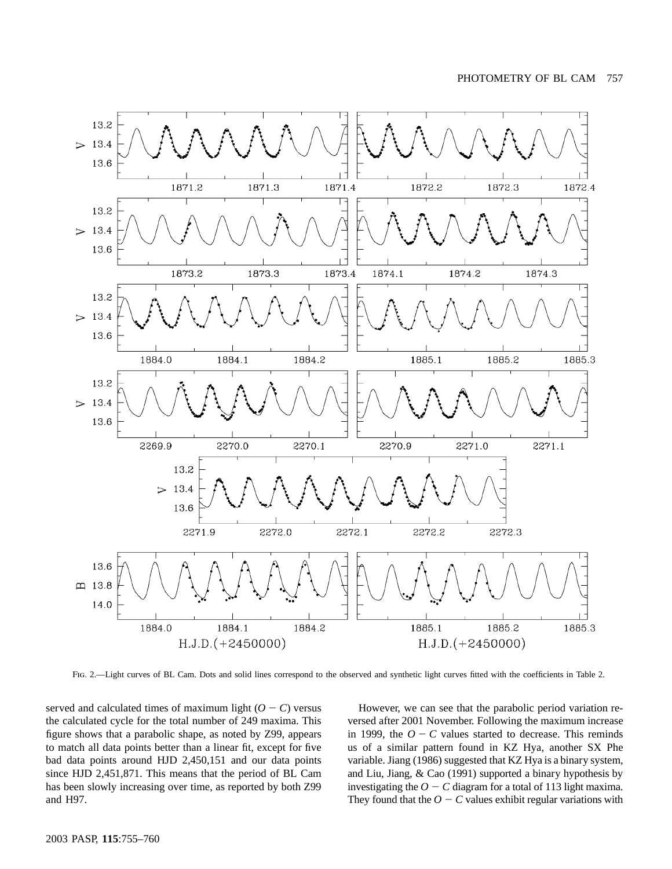

Fig. 2.—Light curves of BL Cam. Dots and solid lines correspond to the observed and synthetic light curves fitted with the coefficients in Table 2.

served and calculated times of maximum light  $(O - C)$  versus the calculated cycle for the total number of 249 maxima. This figure shows that a parabolic shape, as noted by Z99, appears to match all data points better than a linear fit, except for five bad data points around HJD 2,450,151 and our data points since HJD 2,451,871. This means that the period of BL Cam has been slowly increasing over time, as reported by both Z99 and H97.

However, we can see that the parabolic period variation reversed after 2001 November. Following the maximum increase in 1999, the  $O - C$  values started to decrease. This reminds us of a similar pattern found in KZ Hya, another SX Phe variable. Jiang (1986) suggested that KZ Hya is a binary system, and Liu, Jiang, & Cao (1991) supported a binary hypothesis by investigating the  $O - C$  diagram for a total of 113 light maxima. They found that the  $O - C$  values exhibit regular variations with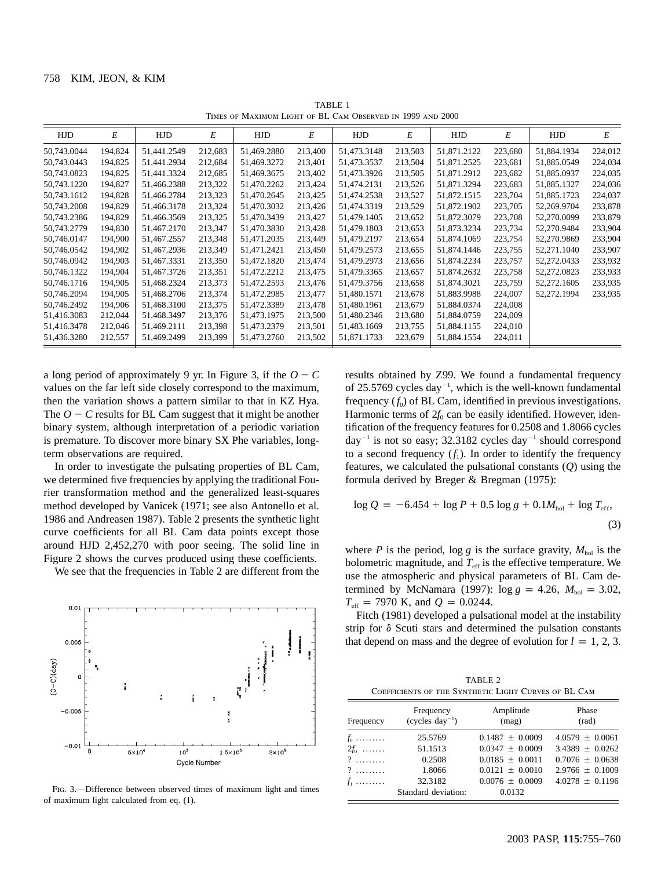| THRES OF INAAIMUM LIGHT OF DE CAM OBSERVED IN 1777 AND LOOD |         |             |         |             |         |             |         |             |         |             |         |
|-------------------------------------------------------------|---------|-------------|---------|-------------|---------|-------------|---------|-------------|---------|-------------|---------|
| HJD                                                         | Е       | HJD         | E       | HJD         | E       | HJD         | E       | HJD         | E       | HJD         | E       |
| 50,743.0044                                                 | 194.824 | 51,441.2549 | 212,683 | 51,469.2880 | 213,400 | 51,473.3148 | 213,503 | 51,871.2122 | 223,680 | 51,884.1934 | 224,012 |
| 50,743.0443                                                 | 194,825 | 51,441.2934 | 212,684 | 51,469.3272 | 213,401 | 51,473.3537 | 213,504 | 51,871.2525 | 223,681 | 51,885.0549 | 224,034 |
| 50,743.0823                                                 | 194,825 | 51,441.3324 | 212,685 | 51,469.3675 | 213,402 | 51,473.3926 | 213,505 | 51,871.2912 | 223,682 | 51,885.0937 | 224,035 |
| 50,743.1220                                                 | 194,827 | 51,466.2388 | 213,322 | 51,470.2262 | 213,424 | 51,474.2131 | 213,526 | 51,871.3294 | 223,683 | 51,885.1327 | 224,036 |
| 50,743.1612                                                 | 194,828 | 51,466.2784 | 213,323 | 51,470.2645 | 213,425 | 51,474.2538 | 213,527 | 51,872.1515 | 223,704 | 51,885.1723 | 224,037 |
| 50,743.2008                                                 | 194,829 | 51,466.3178 | 213,324 | 51,470.3032 | 213,426 | 51,474.3319 | 213,529 | 51,872.1902 | 223,705 | 52,269.9704 | 233,878 |
| 50,743.2386                                                 | 194,829 | 51,466.3569 | 213,325 | 51,470.3439 | 213,427 | 51,479.1405 | 213,652 | 51,872.3079 | 223,708 | 52,270.0099 | 233,879 |
| 50,743.2779                                                 | 194,830 | 51,467.2170 | 213,347 | 51,470.3830 | 213,428 | 51,479.1803 | 213,653 | 51,873.3234 | 223,734 | 52,270.9484 | 233,904 |
| 50,746.0147                                                 | 194,900 | 51,467.2557 | 213,348 | 51,471.2035 | 213,449 | 51,479.2197 | 213,654 | 51,874.1069 | 223,754 | 52,270.9869 | 233,904 |
| 50,746.0542                                                 | 194,902 | 51,467.2936 | 213,349 | 51,471.2421 | 213,450 | 51,479.2573 | 213,655 | 51,874.1446 | 223,755 | 52,271.1040 | 233,907 |
| 50,746.0942                                                 | 194,903 | 51,467.3331 | 213,350 | 51,472.1820 | 213,474 | 51,479.2973 | 213,656 | 51,874.2234 | 223,757 | 52,272.0433 | 233,932 |
| 50,746.1322                                                 | 194,904 | 51,467.3726 | 213,351 | 51,472.2212 | 213,475 | 51,479.3365 | 213,657 | 51,874.2632 | 223,758 | 52,272.0823 | 233,933 |
| 50,746.1716                                                 | 194,905 | 51,468.2324 | 213,373 | 51,472.2593 | 213,476 | 51,479.3756 | 213,658 | 51,874.3021 | 223,759 | 52,272.1605 | 233,935 |
| 50,746.2094                                                 | 194,905 | 51,468.2706 | 213,374 | 51,472.2985 | 213,477 | 51,480.1571 | 213,678 | 51,883.9988 | 224,007 | 52,272.1994 | 233,935 |
| 50,746.2492                                                 | 194,906 | 51,468.3100 | 213,375 | 51,472.3389 | 213,478 | 51,480.1961 | 213,679 | 51,884.0374 | 224,008 |             |         |
| 51,416.3083                                                 | 212,044 | 51,468.3497 | 213,376 | 51,473.1975 | 213,500 | 51,480.2346 | 213,680 | 51,884.0759 | 224,009 |             |         |
| 51,416.3478                                                 | 212,046 | 51,469.2111 | 213,398 | 51,473.2379 | 213,501 | 51,483.1669 | 213,755 | 51,884.1155 | 224,010 |             |         |
| 51,436.3280                                                 | 212,557 | 51,469.2499 | 213,399 | 51,473.2760 | 213,502 | 51,871.1733 | 223,679 | 51,884.1554 | 224,011 |             |         |

TABLE 1 IS OF MAXIMUM LIGHT OF BL CAM OBSERVED IN 1999 AND 2000

a long period of approximately 9 yr. In Figure 3, if the  $O - C$ values on the far left side closely correspond to the maximum, then the variation shows a pattern similar to that in KZ Hya. The  $O - C$  results for BL Cam suggest that it might be another binary system, although interpretation of a periodic variation is premature. To discover more binary SX Phe variables, longterm observations are required.

In order to investigate the pulsating properties of BL Cam, we determined five frequencies by applying the traditional Fourier transformation method and the generalized least-squares method developed by Vanicek (1971; see also Antonello et al. 1986 and Andreasen 1987). Table 2 presents the synthetic light curve coefficients for all BL Cam data points except those around HJD 2,452,270 with poor seeing. The solid line in Figure 2 shows the curves produced using these coefficients.

We see that the frequencies in Table 2 are different from the



Fig. 3.—Difference between observed times of maximum light and times of maximum light calculated from eq. (1).

results obtained by Z99. We found a fundamental frequency of 25.5769 cycles day<sup>-1</sup>, which is the well-known fundamental frequency  $(f_0)$  of BL Cam, identified in previous investigations. Harmonic terms of  $2f_0$  can be easily identified. However, identification of the frequency features for 0.2508 and 1.8066 cycles day<sup>-1</sup> is not so easy; 32.3182 cycles day<sup>-1</sup> should correspond to a second frequency  $(f_1)$ . In order to identify the frequency features, we calculated the pulsational constants (*Q*) using the formula derived by Breger & Bregman (1975):

$$
\log Q = -6.454 + \log P + 0.5 \log g + 0.1 M_{\text{bol}} + \log T_{\text{eff}},
$$
\n(3)

where *P* is the period,  $\log g$  is the surface gravity,  $M_{\text{bol}}$  is the bolometric magnitude, and  $T_{\text{eff}}$  is the effective temperature. We use the atmospheric and physical parameters of BL Cam determined by McNamara (1997):  $\log g = 4.26$ ,  $M_{bol} = 3.02$ ,  $T_{\text{eff}}$  = 7970 K, and  $Q = 0.0244$ .

Fitch (1981) developed a pulsational model at the instability strip for  $\delta$  Scuti stars and determined the pulsation constants that depend on mass and the degree of evolution for  $l = 1, 2, 3$ .

| TABLE 2                                              |  |  |  |  |  |  |
|------------------------------------------------------|--|--|--|--|--|--|
| COEFFICIENTS OF THE SYNTHETIC LIGHT CURVES OF BL CAM |  |  |  |  |  |  |

| Frequency | Frequency<br>$(cycles\ day^{-1})$ | Amplitude<br>(mag)  | Phase<br>(rad)      |  |  |
|-----------|-----------------------------------|---------------------|---------------------|--|--|
| $f_0$     | 25.5769                           | $0.1487 \pm 0.0009$ | $4.0579 \pm 0.0061$ |  |  |
| $2f_0$    | 51.1513                           | $0.0347 \pm 0.0009$ | $3.4389 \pm 0.0262$ |  |  |
| $?$       | 0.2508                            | $0.0185 + 0.0011$   | $0.7076 \pm 0.0638$ |  |  |
| $?$       | 1.8066                            | $0.0121 \pm 0.0010$ | $2.9766 \pm 0.1009$ |  |  |
| $f_1$     | 32.3182                           | $0.0076 \pm 0.0009$ | $4.0278 \pm 0.1196$ |  |  |
|           | Standard deviation:               | 0.0132              |                     |  |  |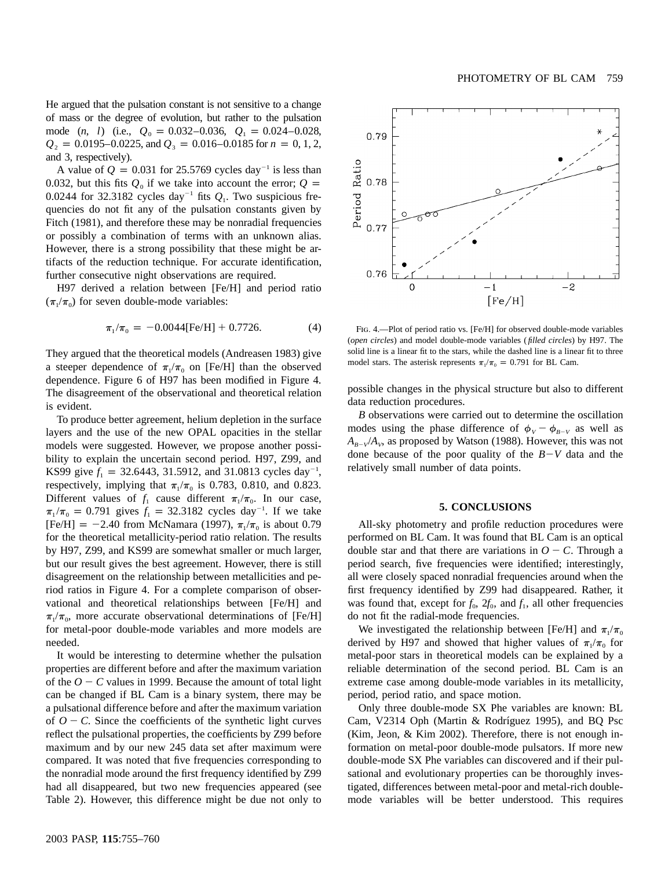He argued that the pulsation constant is not sensitive to a change of mass or the degree of evolution, but rather to the pulsation mode  $(n, l)$  (i.e.,  $Q_0 = 0.032 - 0.036$ ,  $Q_1 = 0.024 - 0.028$ ,  $Q_2 = 0.0195$ –0.0225, and  $Q_3 = 0.016$ –0.0185 for  $n = 0, 1, 2$ , and 3, respectively).

A value of  $Q = 0.031$  for 25.5769 cycles day<sup>-1</sup> is less than 0.032, but this fits  $Q_0$  if we take into account the error;  $Q =$ 0.0244 for 32.3182 cycles day<sup>-1</sup> fits  $Q_1$ . Two suspicious frequencies do not fit any of the pulsation constants given by Fitch (1981), and therefore these may be nonradial frequencies or possibly a combination of terms with an unknown alias. However, there is a strong possibility that these might be artifacts of the reduction technique. For accurate identification, further consecutive night observations are required.

H97 derived a relation between [Fe/H] and period ratio  $(\pi_1 / \pi_0)$  for seven double-mode variables:

$$
\pi_1/\pi_0 = -0.0044 \text{[Fe/H]} + 0.7726. \tag{4}
$$

They argued that the theoretical models (Andreasen 1983) give a steeper dependence of  $\pi_1/\pi_0$  on [Fe/H] than the observed dependence. Figure 6 of H97 has been modified in Figure 4. The disagreement of the observational and theoretical relation is evident.

To produce better agreement, helium depletion in the surface layers and the use of the new OPAL opacities in the stellar models were suggested. However, we propose another possibility to explain the uncertain second period. H97, Z99, and KS99 give  $f_1 = 32.6443$ , 31.5912, and 31.0813 cycles day<sup>-1</sup>, respectively, implying that  $\pi_1/\pi_0$  is 0.783, 0.810, and 0.823. Different values of  $f_1$  cause different  $\pi_1 / \pi_0$ . In our case,  $\pi_1/\pi_0 = 0.791$  gives  $f_1 = 32.3182$  cycles day<sup>-1</sup>. If we take [Fe/H] = -2.40 from McNamara (1997),  $\pi_1/\pi_0$  is about 0.79 for the theoretical metallicity-period ratio relation. The results by H97, Z99, and KS99 are somewhat smaller or much larger, but our result gives the best agreement. However, there is still disagreement on the relationship between metallicities and period ratios in Figure 4. For a complete comparison of observational and theoretical relationships between [Fe/H] and  $\pi$ <sub>1</sub>/ $\pi$ <sub>0</sub>, more accurate observational determinations of [Fe/H] for metal-poor double-mode variables and more models are needed.

It would be interesting to determine whether the pulsation properties are different before and after the maximum variation of the  $O - C$  values in 1999. Because the amount of total light can be changed if BL Cam is a binary system, there may be a pulsational difference before and after the maximum variation of  $O - C$ . Since the coefficients of the synthetic light curves reflect the pulsational properties, the coefficients by Z99 before maximum and by our new 245 data set after maximum were compared. It was noted that five frequencies corresponding to the nonradial mode around the first frequency identified by Z99 had all disappeared, but two new frequencies appeared (see Table 2). However, this difference might be due not only to



FIG. 4.—Plot of period ratio vs. [Fe/H] for observed double-mode variables (*open circles*) and model double-mode variables ( *filled circles*) by H97. The solid line is a linear fit to the stars, while the dashed line is a linear fit to three model stars. The asterisk represents  $\pi_1 / \pi_0 = 0.791$  for BL Cam.

possible changes in the physical structure but also to different data reduction procedures.

*B* observations were carried out to determine the oscillation modes using the phase difference of  $\phi_V - \phi_{B-V}$  as well as  $A_{R-V}/A_{V}$ , as proposed by Watson (1988). However, this was not done because of the poor quality of the  $B-V$  data and the relatively small number of data points.

# **5. CONCLUSIONS**

All-sky photometry and profile reduction procedures were performed on BL Cam. It was found that BL Cam is an optical double star and that there are variations in  $O - C$ . Through a period search, five frequencies were identified; interestingly, all were closely spaced nonradial frequencies around when the first frequency identified by Z99 had disappeared. Rather, it was found that, except for  $f_0$ ,  $2f_0$ , and  $f_1$ , all other frequencies do not fit the radial-mode frequencies.

We investigated the relationship between [Fe/H] and  $\pi_1 / \pi_0$ derived by H97 and showed that higher values of  $\pi_1 / \pi_0$  for metal-poor stars in theoretical models can be explained by a reliable determination of the second period. BL Cam is an extreme case among double-mode variables in its metallicity, period, period ratio, and space motion.

Only three double-mode SX Phe variables are known: BL Cam, V2314 Oph (Martin & Rodríguez 1995), and BQ Psc (Kim, Jeon, & Kim 2002). Therefore, there is not enough information on metal-poor double-mode pulsators. If more new double-mode SX Phe variables can discovered and if their pulsational and evolutionary properties can be thoroughly investigated, differences between metal-poor and metal-rich doublemode variables will be better understood. This requires